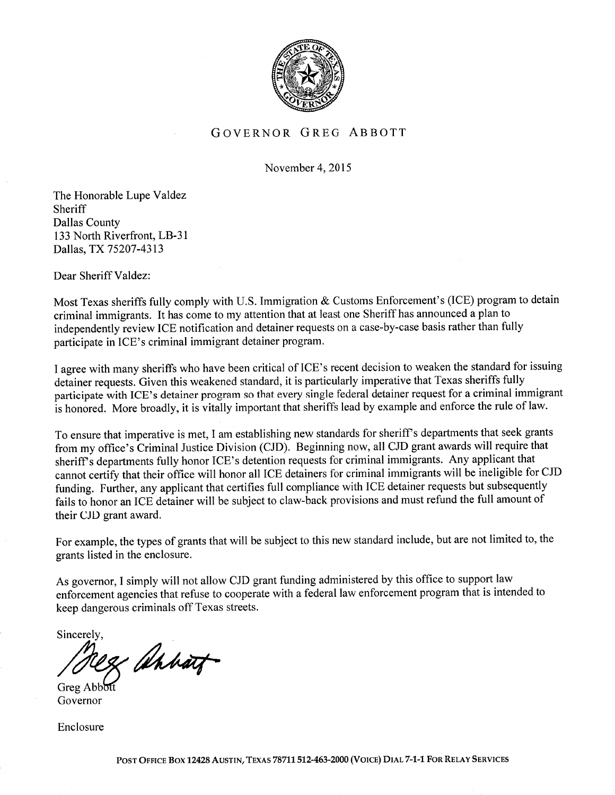

## GOVERNOR GREG ABBOTT

November 4,2015

The Honorable Lupe Yaldez Sheriff Dallas County 133 North Riverfront, LB-31 Dallas, TX75207-4313

Dear Sheriff Valdez:

Most Texas sheriffs fully comply with U.S. Immigration & Customs Enforcement's (ICE) program to detain criminal immigrants. It has come to my attention that at least one Sheriff has announced a plan to independently review ICE notification and detainer requests on a case-by-case basis rather than fully participate in ICE's criminal immigrant detainer program.

<sup>I</sup>agree with many sheriffs who have been critical of ICE's recent decision to weaken the standard for issuing detainer requests. Given this weakened standard, it is particularly imperative that Texas sheriffs fully participate with ICE's detainer program so that every single federal detainer request for a criminal immigrant is honored. More broadly, it is vitally important that sheriffs lead by example and enforce the rule of law.

To ensure that imperative is met, I am establishing new standards for sheriff's departments that seek grants from my office's Criminal Justice Division (CJD). Beginning now, all CJD grant awards will require that sheriff s departments fully honor ICE's detention requests for criminal immigrants. Any applicant that cannot certify that their office will honor all ICE detainers for criminal immigrants will be ineligible for CJD funding. Further, any applicant that certifies full compliance with ICE detainer requests but subsequently fails to honor an ICE detainer will be subject to claw-back provisions and must refund the full amount of their CJD grant award.

For example, the types of grants that will be subject to this new standard include, but are not limited to, the grants listed in the enclosure.

As governor, I simply will not allow CJD grant funding administered by this office to support law enfõrcement agencies that refuse to cooperate with a federal law enforcement program that is intended to keep dangerous criminals off Texas streets.

Sincerely.

28 Ahbart

**Greg Abbo** Governor

Enclosure